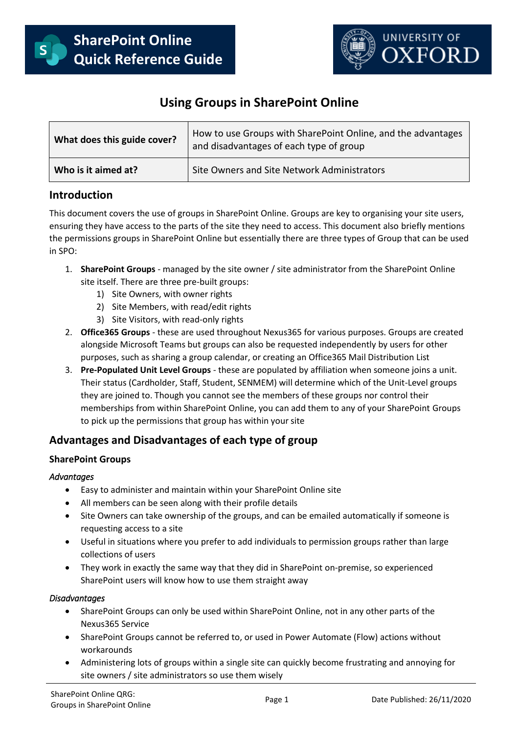



# **Using Groups in SharePoint Online**

| What does this guide cover? | How to use Groups with SharePoint Online, and the advantages<br>and disadvantages of each type of group |
|-----------------------------|---------------------------------------------------------------------------------------------------------|
| Who is it aimed at?         | Site Owners and Site Network Administrators                                                             |

### **Introduction**

This document covers the use of groups in SharePoint Online. Groups are key to organising your site users, ensuring they have access to the parts of the site they need to access. This document also briefly mentions the permissions groups in SharePoint Online but essentially there are three types of Group that can be used in SPO:

- 1. **SharePoint Groups** managed by the site owner / site administrator from the SharePoint Online site itself. There are three pre-built groups:
	- 1) Site Owners, with owner rights
	- 2) Site Members, with read/edit rights
	- 3) Site Visitors, with read-only rights
- 2. **Office365 Groups** these are used throughout Nexus365 for various purposes. Groups are created alongside Microsoft Teams but groups can also be requested independently by users for other purposes, such as sharing a group calendar, or creating an Office365 Mail Distribution List
- 3. **Pre-Populated Unit Level Groups** these are populated by affiliation when someone joins a unit. Their status (Cardholder, Staff, Student, SENMEM) will determine which of the Unit-Level groups they are joined to. Though you cannot see the members of these groups nor control their memberships from within SharePoint Online, you can add them to any of your SharePoint Groups to pick up the permissions that group has within your site

## **Advantages and Disadvantages of each type of group**

#### **SharePoint Groups**

#### *Advantages*

- Easy to administer and maintain within your SharePoint Online site
- All members can be seen along with their profile details
- Site Owners can take ownership of the groups, and can be emailed automatically if someone is requesting access to a site
- Useful in situations where you prefer to add individuals to permission groups rather than large collections of users
- They work in exactly the same way that they did in SharePoint on-premise, so experienced SharePoint users will know how to use them straight away

#### *Disadvantages*

- SharePoint Groups can only be used within SharePoint Online, not in any other parts of the Nexus365 Service
- SharePoint Groups cannot be referred to, or used in Power Automate (Flow) actions without workarounds
- Administering lots of groups within a single site can quickly become frustrating and annoying for site owners / site administrators so use them wisely